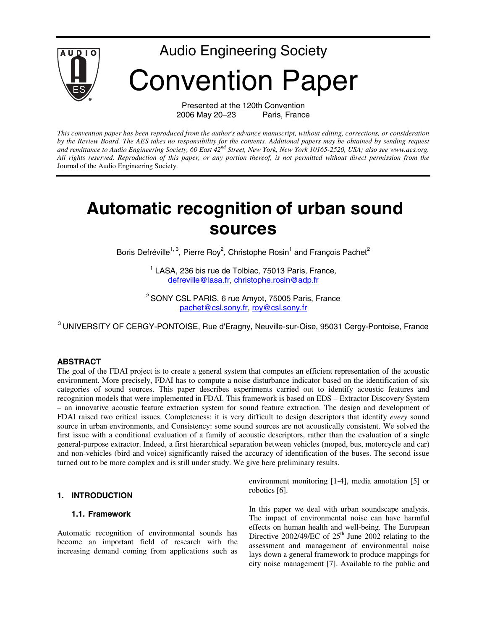

Presented at the 120th Convention<br>006 May 20–23 Paris, France 2006 May 20-23

*This convention paper has been reproduced from the author's advance manuscript, without editing, corrections, or consideration by the Review Board. The AES takes no responsibility for the contents. Additional papers may be obtained by sending request and remittance to Audio Engineering Society, 60 East 42nd Street, New York, New York 10165-2520, USA; also see www.aes.org. All rights reserved. Reproduction of this paper, or any portion thereof, is not permitted without direct permission from the* Journal of the Audio Engineering Society.

# **Automatic recognition of urban sound sources**

Boris Defréville<sup>1, 3</sup>, Pierre Roy<sup>2</sup>, Christophe Rosin<sup>1</sup> and François Pachet<sup>2</sup>

<sup>1</sup> LASA, 236 bis rue de Tolbiac, 75013 Paris, France, defreville@lasa.fr, christophe.rosin@adp.fr

 $2$  SONY CSL PARIS, 6 rue Amyot, 75005 Paris, France pachet@csl.sony.fr, roy@csl.sony.fr

<sup>3</sup> UNIVERSITY OF CERGY-PONTOISE, Rue d'Eragny, Neuville-sur-Oise, 95031 Cergy-Pontoise, France

#### **ABSTRACT**

The goal of the FDAI project is to create a general system that computes an efficient representation of the acoustic environment. More precisely, FDAI has to compute a noise disturbance indicator based on the identification of six categories of sound sources. This paper describes experiments carried out to identify acoustic features and recognition models that were implemented in FDAI. This framework is based on EDS – Extractor Discovery System – an innovative acoustic feature extraction system for sound feature extraction. The design and development of FDAI raised two critical issues. Completeness: it is very difficult to design descriptors that identify *every* sound source in urban environments, and Consistency: some sound sources are not acoustically consistent. We solved the first issue with a conditional evaluation of a family of acoustic descriptors, rather than the evaluation of a single general-purpose extractor. Indeed, a first hierarchical separation between vehicles (moped, bus, motorcycle and car) and non-vehicles (bird and voice) significantly raised the accuracy of identification of the buses. The second issue turned out to be more complex and is still under study. We give here preliminary results.

#### **1. INTRODUCTION**

#### **1.1. Framework**

Automatic recognition of environmental sounds has become an important field of research with the increasing demand coming from applications such as

environment monitoring [1-4], media annotation [5] or robotics [6].

In this paper we deal with urban soundscape analysis. The impact of environmental noise can have harmful effects on human health and well-being. The European Directive 2002/49/EC of  $25<sup>th</sup>$  June 2002 relating to the assessment and management of environmental noise lays down a general framework to produce mappings for city noise management [7]. Available to the public and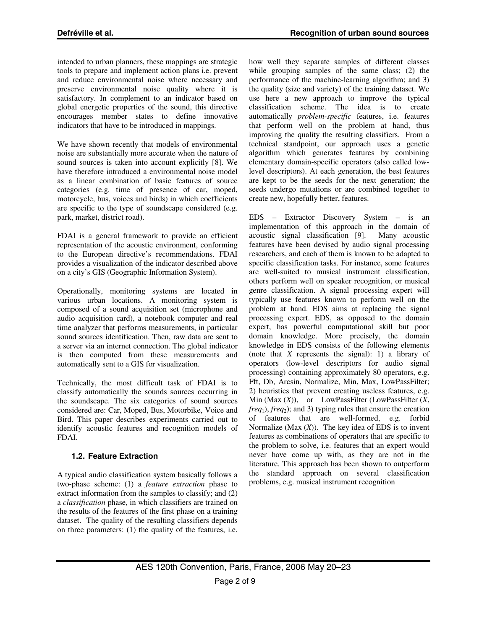intended to urban planners, these mappings are strategic tools to prepare and implement action plans i.e. prevent and reduce environmental noise where necessary and preserve environmental noise quality where it is satisfactory. In complement to an indicator based on global energetic properties of the sound, this directive encourages member states to define innovative indicators that have to be introduced in mappings.

We have shown recently that models of environmental noise are substantially more accurate when the nature of sound sources is taken into account explicitly [8]. We have therefore introduced a environmental noise model as a linear combination of basic features of source categories (e.g. time of presence of car, moped, motorcycle, bus, voices and birds) in which coefficients are specific to the type of soundscape considered (e.g. park, market, district road).

FDAI is a general framework to provide an efficient representation of the acoustic environment, conforming to the European directive's recommendations. FDAI provides a visualization of the indicator described above on a city's GIS (Geographic Information System).

Operationally, monitoring systems are located in various urban locations. A monitoring system is composed of a sound acquisition set (microphone and audio acquisition card), a notebook computer and real time analyzer that performs measurements, in particular sound sources identification. Then, raw data are sent to a server via an internet connection. The global indicator is then computed from these measurements and automatically sent to a GIS for visualization.

Technically, the most difficult task of FDAI is to classify automatically the sounds sources occurring in the soundscape. The six categories of sound sources considered are: Car, Moped, Bus, Motorbike, Voice and Bird. This paper describes experiments carried out to identify acoustic features and recognition models of FDAI.

## **1.2. Feature Extraction**

A typical audio classification system basically follows a two-phase scheme: (1) a *feature extraction* phase to extract information from the samples to classify; and (2) a *classification* phase, in which classifiers are trained on the results of the features of the first phase on a training dataset. The quality of the resulting classifiers depends on three parameters: (1) the quality of the features, i.e. how well they separate samples of different classes while grouping samples of the same class; (2) the performance of the machine-learning algorithm; and 3) the quality (size and variety) of the training dataset. We use here a new approach to improve the typical classification scheme. The idea is to create automatically *problem-specific* features, i.e. features that perform well on the problem at hand, thus improving the quality the resulting classifiers. From a technical standpoint, our approach uses a genetic algorithm which generates features by combining elementary domain-specific operators (also called lowlevel descriptors). At each generation, the best features are kept to be the seeds for the next generation; the seeds undergo mutations or are combined together to create new, hopefully better, features.

EDS – Extractor Discovery System – is an implementation of this approach in the domain of acoustic signal classification [9]. Many acoustic features have been devised by audio signal processing researchers, and each of them is known to be adapted to specific classification tasks. For instance, some features are well-suited to musical instrument classification, others perform well on speaker recognition, or musical genre classification. A signal processing expert will typically use features known to perform well on the problem at hand. EDS aims at replacing the signal processing expert. EDS, as opposed to the domain expert, has powerful computational skill but poor domain knowledge. More precisely, the domain knowledge in EDS consists of the following elements (note that *X* represents the signal): 1) a library of operators (low-level descriptors for audio signal processing) containing approximately 80 operators, e.g. Fft, Db, Arcsin, Normalize, Min, Max, LowPassFilter; 2) heuristics that prevent creating useless features, e.g. Min (Max (*X*)), or LowPassFilter (LowPassFilter (*X*, *freq*1), *freq*2); and 3) typing rules that ensure the creation of features that are well-formed, e.g. forbid Normalize (Max  $(X)$ ). The key idea of EDS is to invent features as combinations of operators that are specific to the problem to solve, i.e. features that an expert would never have come up with, as they are not in the literature. This approach has been shown to outperform the standard approach on several classification problems, e.g. musical instrument recognition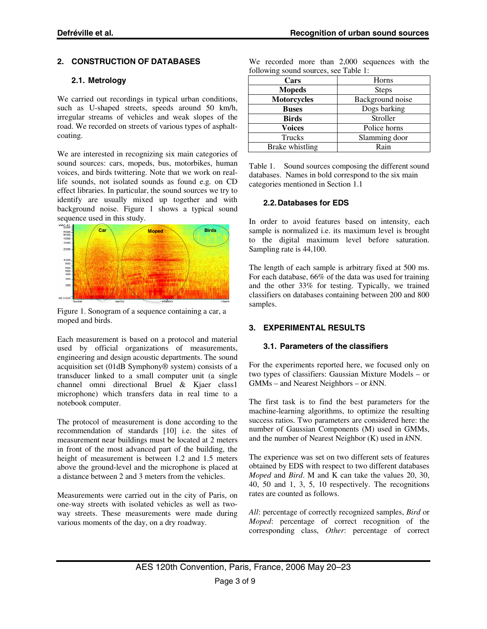## **2. CONSTRUCTION OF DATABASES**

## **2.1. Metrology**

We carried out recordings in typical urban conditions, such as U-shaped streets, speeds around 50 km/h, irregular streams of vehicles and weak slopes of the road. We recorded on streets of various types of asphaltcoating.

We are interested in recognizing six main categories of sound sources: cars, mopeds, bus, motorbikes, human voices, and birds twittering. Note that we work on reallife sounds, not isolated sounds as found e.g. on CD effect libraries. In particular, the sound sources we try to identify are usually mixed up together and with background noise. Figure 1 shows a typical sound sequence used in this study.



Figure 1. Sonogram of a sequence containing a car, a moped and birds.

Each measurement is based on a protocol and material used by official organizations of measurements, engineering and design acoustic departments. The sound acquisition set (01dB Symphony® system) consists of a transducer linked to a small computer unit (a single channel omni directional Bruel & Kjaer class1 microphone) which transfers data in real time to a notebook computer.

The protocol of measurement is done according to the recommendation of standards [10] i.e. the sites of measurement near buildings must be located at 2 meters in front of the most advanced part of the building, the height of measurement is between 1.2 and 1.5 meters above the ground-level and the microphone is placed at a distance between 2 and 3 meters from the vehicles.

Measurements were carried out in the city of Paris, on one-way streets with isolated vehicles as well as twoway streets. These measurements were made during various moments of the day, on a dry roadway.

|                                       |  | We recorded more than 2,000 sequences with the |  |
|---------------------------------------|--|------------------------------------------------|--|
| following sound sources, see Table 1: |  |                                                |  |

| Cars               | Horns            |
|--------------------|------------------|
| <b>Mopeds</b>      | <b>Steps</b>     |
| <b>Motorcycles</b> | Background noise |
| <b>Buses</b>       | Dogs barking     |
| <b>Birds</b>       | Stroller         |
| <b>Voices</b>      | Police horns     |
| <b>Trucks</b>      | Slamming door    |
| Brake whistling    | Rain             |

Table 1. Sound sources composing the different sound databases. Names in bold correspond to the six main categories mentioned in Section 1.1

#### **2.2. Databases for EDS**

In order to avoid features based on intensity, each sample is normalized i.e. its maximum level is brought to the digital maximum level before saturation. Sampling rate is 44,100.

The length of each sample is arbitrary fixed at 500 ms. For each database, 66% of the data was used for training and the other 33% for testing. Typically, we trained classifiers on databases containing between 200 and 800 samples.

## **3. EXPERIMENTAL RESULTS**

#### **3.1. Parameters of the classifiers**

For the experiments reported here, we focused only on two types of classifiers: Gaussian Mixture Models – or GMMs – and Nearest Neighbors – or *k*NN.

The first task is to find the best parameters for the machine-learning algorithms, to optimize the resulting success ratios. Two parameters are considered here: the number of Gaussian Components (M) used in GMMs, and the number of Nearest Neighbor (K) used in *k*NN.

The experience was set on two different sets of features obtained by EDS with respect to two different databases *Moped* and *Bird*. M and K can take the values 20, 30, 40, 50 and 1, 3, 5, 10 respectively. The recognitions rates are counted as follows.

*All*: percentage of correctly recognized samples, *Bird* or *Moped*: percentage of correct recognition of the corresponding class, *Other*: percentage of correct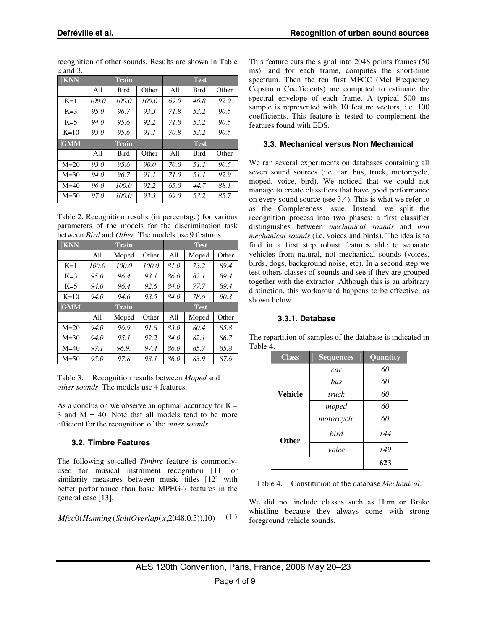| <b>KNN</b> | Train |              |       |      | <b>Test</b> |       |
|------------|-------|--------------|-------|------|-------------|-------|
|            | All   | <b>Bird</b>  | Other | All  | <b>Bird</b> | Other |
| $K=1$      | 100.0 | 100.0        | 100.0 | 69.0 | 46.8        | 92.9  |
| $K=3$      | 95.0  | 96.7         | 93.3  | 71.8 | 53.2        | 90.5  |
| $K=5$      | 94.0  | 95.6         | 92.2  | 71.8 | 53.2        | 90.5  |
| $K=10$     | 93.0  | 95.6         | 91.1  | 70.8 | 53.2        | 90.5  |
| <b>GMM</b> |       | <b>Train</b> |       |      | <b>Test</b> |       |
|            | All   | <b>Bird</b>  | Other | All  | <b>Bird</b> | Other |
| $M=20$     | 93.0  | 95.6         | 90.0  | 70.0 | 51.1        | 90.5  |
| $M = 30$   | 94.0  | 96.7         | 91.1  | 71.0 | 51.1        | 92.9  |
| $M = 40$   | 96.0  | 100.0        | 92.2  | 65.0 | 44.7        | 88.1  |
| $M = 50$   | 97.0  | 100.0        | 93.3  | 69.0 | 53.2        | 85.7  |

recognition of other sounds*.* Results are shown in Table 2 and 3.

Table 2. Recognition results (in percentage) for various parameters of the models for the discrimination task between *Bird* and *Other*. The models use 9 features.

| <b>KNN</b> |              | <b>Train</b> |       |      | <b>Test</b> |       |
|------------|--------------|--------------|-------|------|-------------|-------|
|            | All          | Moped        | Other | All  | Moped       | Other |
| $K=1$      | 100.0        | 100.0        | 100.0 | 81.0 | 73.2        | 89.4  |
| $K=3$      | 95.0         | 96.4         | 93.1  | 86.0 | 82.1        | 89.4  |
| $K=5$      | 94.0         | 96.4         | 92.6  | 84.0 | 77.7        | 89.4  |
| $K=10$     | 94.0         | 94.6         | 93.5  | 84.0 | 78.6        | 90.3  |
|            | <b>Train</b> |              |       |      |             |       |
| <b>GMM</b> |              |              |       |      | <b>Test</b> |       |
|            | All          | Moped        | Other | All  | Moped       | Other |
| $M=20$     | 94.0         | 96.9         | 91.8  | 83.0 | 80.4        | 85.8  |
| $M = 30$   | 94.0         | 95.1         | 92.2  | 84.0 | 82.1        | 86.7  |
| $M=40$     | 97.1         | 96.9.        | 97.4  | 86.0 | 85.7        | 85.8  |

Table 3. Recognition results between *Moped* and *other sounds*. The models use 4 features.

As a conclusion we observe an optimal accuracy for  $K =$ 3 and  $M = 40$ . Note that all models tend to be more efficient for the recognition of the *other sounds*.

## **3.2. Timbre Features**

The following so-called *Timbre* feature is commonlyused for musical instrument recognition [11] or similarity measures between music titles [12] with better performance than basic MPEG-7 features in the general case [13].

$$
Mfcc0(Hanning (SplitOverlap(x, 2048, 0.5)), 10) \qquad (1)
$$

This feature cuts the signal into 2048 points frames (50 ms), and for each frame, computes the short-time spectrum. Then the ten first MFCC (Mel Frequency Cepstrum Coefficients) are computed to estimate the spectral envelope of each frame. A typical 500 ms sample is represented with 10 feature vectors, i.e. 100 coefficients. This feature is tested to complement the features found with EDS.

## **3.3. Mechanical versus Non Mechanical**

We ran several experiments on databases containing all seven sound sources (i.e. car, bus, truck, motorcycle, moped, voice, bird). We noticed that we could not manage to create classifiers that have good performance on every sound source (see 3.4). This is what we refer to as the Completeness issue. Instead, we split the recognition process into two phases: a first classifier distinguishes between *mechanical sounds* and *non mechanical sounds* (i.e. voices and birds). The idea is to find in a first step robust features able to separate vehicles from natural, not mechanical sounds (voices, birds, dogs, background noise, etc). In a second step we test others classes of sounds and see if they are grouped together with the extractor. Although this is an arbitrary distinction, this workaround happens to be effective, as shown below.

#### **3.3.1.Database**

The repartition of samples of the database is indicated in Table 4.

| <b>Class</b>   | <b>Sequences</b> | Quantity |
|----------------|------------------|----------|
|                | car              | 60       |
|                | <i>bus</i>       | 60       |
| <b>Vehicle</b> | truck            | 60       |
|                | moped            | 60       |
|                | motorcycle       | 60       |
| <b>Other</b>   | <i>hird</i>      | 144      |
|                | voice            | 149      |
|                |                  | 623      |

Table 4. Constitution of the database *Mechanical*.

We did not include classes such as Horn or Brake whistling because they always come with strong foreground vehicle sounds.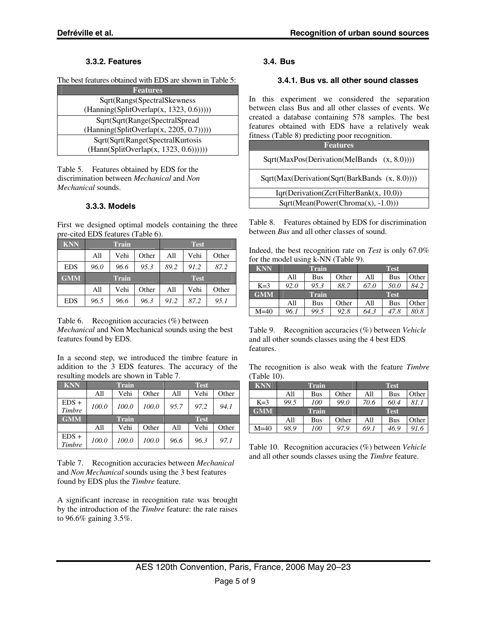## **3.3.2.Features**

The best features obtained with EDS are shown in Table 5:

| <b>Features</b>                          |
|------------------------------------------|
| Sqrt(Rangs(SpectralSkewness)             |
| $(Hanning(SplitOverlap(x, 1323, 0.6))))$ |
| Sqrt(Sqrt(Range(SpectralSpread           |
| $(Hanning(SplitOverlap(x, 2205, 0.7))))$ |
| Sqrt(Sqrt(Range(SpectralKurtosis         |
| (Hann(SplitOverlap(x, 1323, 0.6))))      |

Table 5. Features obtained by EDS for the discrimination between *Mechanical* and *Non Mechanical* sounds.

## **3.3.3.Models**

First we designed optimal models containing the three pre-cited EDS features (Table 6).

| <b>KNN</b> | <b>Train</b> |      |       |      | <b>Test</b> |       |
|------------|--------------|------|-------|------|-------------|-------|
|            | All          | Vehi | Other | All  | Vehi        | Other |
| <b>EDS</b> | 96.0         | 96.6 | 95.3  | 89.2 | 91.2        | 87.2  |
|            | <b>Train</b> |      |       |      |             |       |
| <b>GMM</b> |              |      |       |      | <b>Test</b> |       |
|            | All          | Vehi | Other | All  | Vehi        | Other |

Table 6. Recognition accuracies (%) between *Mechanical* and Non Mechanical sounds using the best features found by EDS.

In a second step, we introduced the timbre feature in addition to the 3 EDS features. The accuracy of the resulting models are shown in Table 7.

| <b>KNN</b>        | <b>Train</b> |       |       |      | <b>Test</b> |       |
|-------------------|--------------|-------|-------|------|-------------|-------|
|                   | All          | Vehi  | Other | All  | Vehi        | Other |
| $EDS +$<br>Timbre | 100.0        | 100.0 | 100.0 | 95.7 | 97.2        | 94.1  |
|                   |              |       |       |      |             |       |
| <b>GMM</b>        |              | Train |       |      | <b>Test</b> |       |
|                   | All          | Vehi  | Other | All  | Vehi        | Other |

Table 7. Recognition accuracies between *Mechanical*  and *Non Mechanical* sounds using the 3 best features found by EDS plus the *Timbre* feature.

A significant increase in recognition rate was brought by the introduction of the *Timbre* feature: the rate raises to 96.6% gaining 3.5%.

# **3.4. Bus**

## **3.4.1.Bus vs. all other sound classes**

In this experiment we considered the separation between class Bus and all other classes of events. We created a database containing 578 samples. The best features obtained with EDS have a relatively weak fitness (Table 8) predicting poor recognition.

| <b>Features</b>                                |
|------------------------------------------------|
| $Sqrt(MaxPos(Derivation(MelBands (x, 8.0))))$  |
| Sqrt(Max(Derivation(Sqrt(BarkBands (x, 8.0)))) |
| Iqr(Derivation(Zcr(FilterBank(x, 10.0))        |
| $Sqrt(Mean(Power(Chroma(x), -1.0)))$           |

Table 8. Features obtained by EDS for discrimination between *Bus* and all other classes of sound.

Indeed, the best recognition rate on *Test* is only 67.0% for the model using k-NN (Table 9).

| <b>KNN</b> | Train |       |       |      | <b>Test</b> |       |
|------------|-------|-------|-------|------|-------------|-------|
|            | All   | Bus   | Other | All  | Bus         | Other |
| $K=3$      | 92.0  | 95.3  | 88.7  | 67.0 | 50.0        | 84.2  |
|            |       |       |       |      |             |       |
| <b>GMM</b> |       | Train |       |      | <b>Test</b> |       |
|            | All   | Bus   | Other | All  | Bus         | Other |

Table 9. Recognition accuracies (%) between *Vehicle* and all other sounds classes using the 4 best EDS features.

The recognition is also weak with the feature *Timbre*  (Table 10).

| <b>KNN</b> | Train |       |       |      | <b>Test</b> |       |
|------------|-------|-------|-------|------|-------------|-------|
|            | All   | Bus   | Other | All  | <b>Bus</b>  | Other |
| $K=3$      | 99.5  | 100   | 99.0  | 70.6 | 60.4        | 81.1  |
| GMM        |       | Train |       |      | <b>Test</b> |       |
|            | All   | Bus   | Other | All  | <b>Bus</b>  | Other |
| $M=40$     | 98.9  | 100   | 97.9  | 69.1 | 46.9        | 91.6  |

Table 10. Recognition accuracies (%) between *Vehicle* and all other sounds classes using the *Timbre* feature.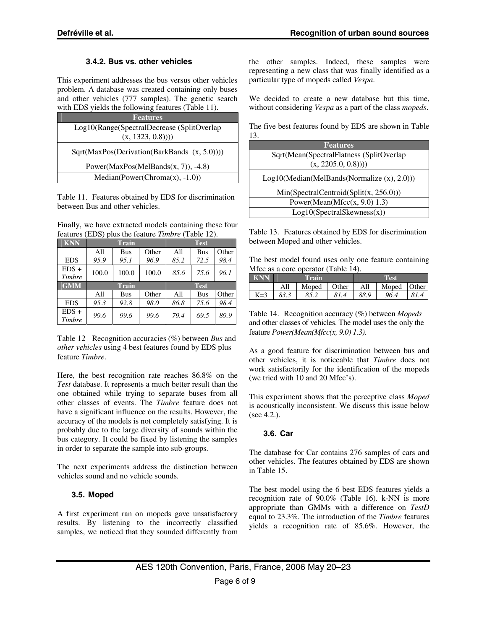## **3.4.2.Bus vs. other vehicles**

This experiment addresses the bus versus other vehicles problem. A database was created containing only buses and other vehicles (777 samples). The genetic search with EDS yields the following features (Table 11).

| <b>Features</b>                              |
|----------------------------------------------|
| Log10(Range(SpectralDecrease (SplitOverlap)  |
| (x, 1323, 0.8))                              |
| Sqrt(MaxPos(Derivation(BarkBands (x, 5.0)))) |
| Power(MaxPos(MelBands(x, 7)), $-4.8$ )       |
| $Median(Power(Chroma(x), -1.0))$             |

Table 11. Features obtained by EDS for discrimination between Bus and other vehicles.

Finally, we have extracted models containing these four features (EDS) plus the feature *Timbre* (Table 12).

| <b>KNN</b> |       | <b>Train</b> |       |      | <b>Test</b> |       |
|------------|-------|--------------|-------|------|-------------|-------|
|            | All   | Bus          | Other | All  | <b>Bus</b>  | Other |
| <b>EDS</b> | 95.9  | 95.1         | 96.9  | 85.2 | 72.5        | 98.4  |
| $EDS +$    | 100.0 | 100.0        | 100.0 | 85.6 | 75.6        | 96.1  |
| Timbre     |       |              |       |      |             |       |
|            |       |              |       |      |             |       |
| <b>GMM</b> |       | <b>Train</b> |       |      | <b>Test</b> |       |
|            | All   | Bus          | Other | All  | <b>Bus</b>  | Other |
| <b>EDS</b> | 95.3  | 92.8         | 98.0  | 86.8 | 75.6        | 98.4  |
| $EDS +$    | 99.6  | 99.6         | 99.6  | 79.4 | 69.5        | 89.9  |

Table 12 Recognition accuracies (%) between *Bus* and *other vehicles* using 4 best features found by EDS plus feature *Timbre*.

Here, the best recognition rate reaches 86.8% on the *Test* database. It represents a much better result than the one obtained while trying to separate buses from all other classes of events. The *Timbre* feature does not have a significant influence on the results. However, the accuracy of the models is not completely satisfying. It is probably due to the large diversity of sounds within the bus category. It could be fixed by listening the samples in order to separate the sample into sub-groups.

The next experiments address the distinction between vehicles sound and no vehicle sounds.

## **3.5. Moped**

A first experiment ran on mopeds gave unsatisfactory results. By listening to the incorrectly classified samples, we noticed that they sounded differently from

the other samples. Indeed, these samples were representing a new class that was finally identified as a particular type of mopeds called *Vespa*.

We decided to create a new database but this time, without considering *Vespa* as a part of the class *mopeds*.

The five best features found by EDS are shown in Table 13.

| Features                                      |
|-----------------------------------------------|
| Sqrt(Mean(SpectralFlatness (SplitOverlap)     |
| (x, 2205.0, 0.8))))                           |
| $Log10(Median(MelBands(Normalize (x), 2.0)))$ |
| $Min(SpectralCentroid(Split(x, 256.0)))$      |
| Power(Mean(Mfcc(x, 9.0) 1.3)                  |
| Log10(SpectralSkewness(x))                    |

Table 13. Features obtained by EDS for discrimination between Moped and other vehicles.

The best model found uses only one feature containing Mfcc as a core operator (Table 14).

| <b>KNN</b> | Train |                |      | Test |       |              |
|------------|-------|----------------|------|------|-------|--------------|
|            | All   | Moped<br>Other |      |      | Moped | <b>Other</b> |
| $K=3$      | 83.3  | 85.2           | 81.4 | 88.9 | 96.4  | 81.4         |

Table 14. Recognition accuracy (%) between *Mopeds*  and other classes of vehicles. The model uses the only the feature *Power(Mean(Mfcc(x, 9.0) 1.3).* 

As a good feature for discrimination between bus and other vehicles, it is noticeable that *Timbre* does not work satisfactorily for the identification of the mopeds (we tried with 10 and 20 Mfcc's).

This experiment shows that the perceptive class *Moped* is acoustically inconsistent. We discuss this issue below (see 4.2.).

## **3.6. Car**

The database for Car contains 276 samples of cars and other vehicles. The features obtained by EDS are shown in Table 15.

The best model using the 6 best EDS features yields a recognition rate of 90.0% (Table 16). k-NN is more appropriate than GMMs with a difference on *TestD* equal to 23.3%. The introduction of the *Timbre* features yields a recognition rate of 85.6%. However, the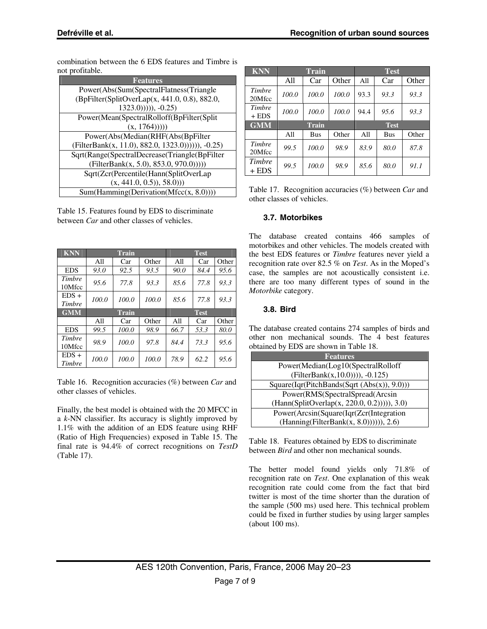combination between the 6 EDS features and Timbre is not profitable.

| <b>Features</b>                                  |
|--------------------------------------------------|
| Power(Abs(Sum(SpectralFlatness(Triangle)         |
| (BpFilter(SplitOverLap(x, 441.0, 0.8), 882.0,    |
| $(1323.0))$ )), $-0.25$ )                        |
| Power(Mean(SpectralRolloff(BpFilter(Split        |
| (x, 1764))))                                     |
| Power(Abs(Median(RHF(Abs(BpFilter                |
| (FilterBank(x, 11.0), 882.0, 1323.0))))), -0.25) |
| Sqrt(Range(SpectralDecrease(Triangle(BpFilter    |
| (FilterBank(x, 5.0), 853.0, 970.0))))            |
| Sqrt(Zcr(Percentile(Hann(SplitOverLap            |
| $(x, 441.0, 0.5)$ , 58.0))                       |
| $Sum(Hamming(Derivation(Mfcc(x, 8.0))))$         |

Table 15. Features found by EDS to discriminate between *Car* and other classes of vehicles.

| <b>KNN</b>        | <b>Train</b> |       |       | <b>Test</b> |      |       |  |
|-------------------|--------------|-------|-------|-------------|------|-------|--|
|                   | All          | Car   | Other | All         | Car  | Other |  |
| <b>EDS</b>        | 93.0         | 92.5  | 93.5  | 90.0        | 84.4 | 95.6  |  |
| Timbre<br>10Mfcc  | 95.6         | 77.8  | 93.3  | 85.6        | 77.8 | 93.3  |  |
| $EDS +$<br>Timbre | 100.0        | 100.0 | 100.0 | 85.6        | 77.8 | 93.3  |  |
| <b>GMM</b>        | Train        |       |       | <b>Test</b> |      |       |  |
|                   |              |       |       |             |      |       |  |
|                   | All          | Car   | Other | All         | Car  | Other |  |
| <b>EDS</b>        | 99.5         | 100.0 | 98.9  | 66.7        | 53.3 | 80.0  |  |
| Timbre<br>10Mfcc  | 98.9         | 100.0 | 97.8  | 84.4        | 73.3 | 95.6  |  |

Table 16. Recognition accuracies (%) between *Car* and other classes of vehicles.

Finally, the best model is obtained with the 20 MFCC in a *k*-NN classifier. Its accuracy is slightly improved by 1.1% with the addition of an EDS feature using RHF (Ratio of High Frequencies) exposed in Table 15. The final rate is 94.4% of correct recognitions on *TestD* (Table 17).

| <b>KNN</b>        | <b>Train</b> |            |       | <b>Test</b> |            |       |  |
|-------------------|--------------|------------|-------|-------------|------------|-------|--|
|                   | All          | Car        | Other | All         | Car        | Other |  |
| Timbre<br>20Mfcc  | 100.0        | 100.0      | 100.0 | 93.3        | 93.3       | 93.3  |  |
| Timbre<br>$+$ EDS | 100.0        | 100.0      | 100.0 | 94.4        | 95.6       | 93.3  |  |
| <b>GMM</b>        |              | Train      |       | <b>Test</b> |            |       |  |
|                   | All          | <b>Bus</b> | Other | All         | <b>Bus</b> | Other |  |
| Timbre<br>20Mfcc  | 99.5         | 100.0      | 98.9  | 83.9        | 80.0       | 87.8  |  |
| Timbre<br>$+$ EDS | 99.5         | 100.0      | 98.9  | 85.6        | 80.0       | 91.1  |  |

Table 17. Recognition accuracies (%) between *Car* and other classes of vehicles.

## **3.7. Motorbikes**

The database created contains 466 samples of motorbikes and other vehicles. The models created with the best EDS features or *Timbre* features never yield a recognition rate over 82.5 % on *Test*. As in the Moped's case, the samples are not acoustically consistent i.e. there are too many different types of sound in the *Motorbike* category.

## **3.8. Bird**

The database created contains 274 samples of birds and other non mechanical sounds. The 4 best features obtained by EDS are shown in Table 18.

| <b>Features</b>                               |
|-----------------------------------------------|
| Power(Median(Log10(SpectralRolloff            |
| $(FilterBank(x, 10.0))))$ , -0.125)           |
| $Square(Iqr(PitchBands(Sqrt (Abs(x)), 9.0)))$ |
| Power(RMS(SpectralSpread(Arcsin               |
| (Hann(SplitOverlap(x, 220.0, 0.2))))), 3.0)   |
| Power(Arcsin(Square(Iqr(Zcr(Integration       |
| $(Hanning (FilterBank(x, 8.0))))$ , 2.6)      |

Table 18. Features obtained by EDS to discriminate between *Bird* and other non mechanical sounds.

The better model found yields only 71.8% of recognition rate on *Test*. One explanation of this weak recognition rate could come from the fact that bird twitter is most of the time shorter than the duration of the sample (500 ms) used here. This technical problem could be fixed in further studies by using larger samples (about 100 ms).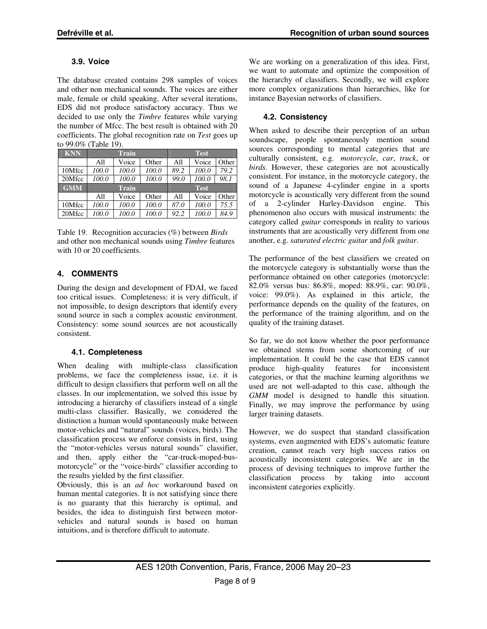## **3.9. Voice**

The database created contains 298 samples of voices and other non mechanical sounds. The voices are either male, female or child speaking. After several iterations, EDS did not produce satisfactory accuracy. Thus we decided to use only the *Timbre* features while varying the number of Mfcc. The best result is obtained with 20 coefficients. The global recognition rate on *Test* goes up to 99.0% (Table 19).

| <b>KNN</b> | <b>Train</b> |       |       | <b>Test</b> |       |       |  |
|------------|--------------|-------|-------|-------------|-------|-------|--|
|            | All          | Voice | Other | All         | Voice | Other |  |
| 10Mfcc     | 100.0        | 100.0 | 100.0 | 89.2        | 100.0 | 79.2  |  |
| 20Mfcc     | 100.0        | 100.0 | 100.0 | 99.0        | 100.0 | 98.1  |  |
| <b>GMM</b> | <b>Train</b> |       |       | <b>Test</b> |       |       |  |
|            | All          | Voice | Other | All         | Voice | Other |  |
| 10Mfcc     | 100.0        | 100.0 | 100.0 | 87.0        | 100.0 | 75.5  |  |
|            |              |       |       |             |       |       |  |

Table 19. Recognition accuracies (%) between *Birds* and other non mechanical sounds using *Timbre* features with 10 or 20 coefficients.

# **4. COMMENTS**

During the design and development of FDAI, we faced too critical issues. Completeness: it is very difficult, if not impossible, to design descriptors that identify every sound source in such a complex acoustic environment. Consistency: some sound sources are not acoustically consistent.

# **4.1. Completeness**

When dealing with multiple-class classification problems, we face the completeness issue, i.e. it is difficult to design classifiers that perform well on all the classes. In our implementation, we solved this issue by introducing a hierarchy of classifiers instead of a single multi-class classifier. Basically, we considered the distinction a human would spontaneously make between motor-vehicles and "natural" sounds (voices, birds). The classification process we enforce consists in first, using the "motor-vehicles versus natural sounds" classifier, and then, apply either the "car-truck-moped-busmotorcycle" or the "voice-birds" classifier according to the results yielded by the first classifier.

Obviously, this is an *ad hoc* workaround based on human mental categories. It is not satisfying since there is no guaranty that this hierarchy is optimal, and besides, the idea to distinguish first between motorvehicles and natural sounds is based on human intuitions, and is therefore difficult to automate.

We are working on a generalization of this idea. First, we want to automate and optimize the composition of the hierarchy of classifiers. Secondly, we will explore more complex organizations than hierarchies, like for instance Bayesian networks of classifiers.

# **4.2. Consistency**

When asked to describe their perception of an urban soundscape, people spontaneously mention sound sources corresponding to mental categories that are culturally consistent, e.g. *motorcycle*, *car*, *truck*, or *birds*. However, these categories are not acoustically consistent. For instance, in the motorcycle category, the sound of a Japanese 4-cylinder engine in a sports motorcycle is acoustically very different from the sound of a 2-cylinder Harley-Davidson engine. This phenomenon also occurs with musical instruments: the category called *guitar* corresponds in reality to various instruments that are acoustically very different from one another, e.g. *saturated electric guitar* and *folk guitar*.

The performance of the best classifiers we created on the motorcycle category is substantially worse than the performance obtained on other categories (motorcycle: 82.0% versus bus: 86.8%, moped: 88.9%, car: 90.0%, voice: 99.0%). As explained in this article, the performance depends on the quality of the features, on the performance of the training algorithm, and on the quality of the training dataset.

So far, we do not know whether the poor performance we obtained stems from some shortcoming of our implementation. It could be the case that EDS cannot produce high-quality features for inconsistent categories, or that the machine learning algorithms we used are not well-adapted to this case, although the GMM model is designed to handle this situation. Finally, we may improve the performance by using larger training datasets.

However, we do suspect that standard classification systems, even augmented with EDS's automatic feature creation, cannot reach very high success ratios on acoustically inconsistent categories. We are in the process of devising techniques to improve further the classification process by taking into account inconsistent categories explicitly.